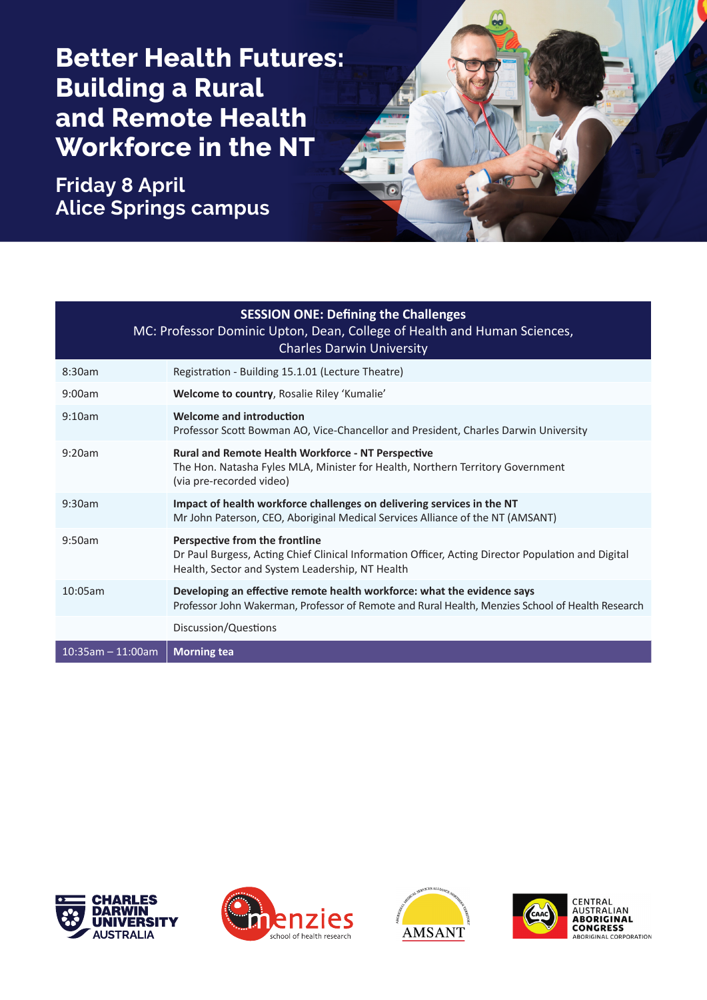**Better Health Futures: Building a Rural and Remote Health Workforce in the NT**

**Friday 8 April Alice Springs campus**



| <b>SESSION ONE: Defining the Challenges</b><br>MC: Professor Dominic Upton, Dean, College of Health and Human Sciences,<br><b>Charles Darwin University</b> |                                                                                                                                                                                         |  |
|-------------------------------------------------------------------------------------------------------------------------------------------------------------|-----------------------------------------------------------------------------------------------------------------------------------------------------------------------------------------|--|
| 8:30am                                                                                                                                                      | Registration - Building 15.1.01 (Lecture Theatre)                                                                                                                                       |  |
| 9:00am                                                                                                                                                      | Welcome to country, Rosalie Riley 'Kumalie'                                                                                                                                             |  |
| 9:10am                                                                                                                                                      | Welcome and introduction<br>Professor Scott Bowman AO, Vice-Chancellor and President, Charles Darwin University                                                                         |  |
| 9:20am                                                                                                                                                      | <b>Rural and Remote Health Workforce - NT Perspective</b><br>The Hon. Natasha Fyles MLA, Minister for Health, Northern Territory Government<br>(via pre-recorded video)                 |  |
| 9:30am                                                                                                                                                      | Impact of health workforce challenges on delivering services in the NT<br>Mr John Paterson, CEO, Aboriginal Medical Services Alliance of the NT (AMSANT)                                |  |
| 9:50am                                                                                                                                                      | Perspective from the frontline<br>Dr Paul Burgess, Acting Chief Clinical Information Officer, Acting Director Population and Digital<br>Health, Sector and System Leadership, NT Health |  |
| 10:05am                                                                                                                                                     | Developing an effective remote health workforce: what the evidence says<br>Professor John Wakerman, Professor of Remote and Rural Health, Menzies School of Health Research             |  |
|                                                                                                                                                             | Discussion/Questions                                                                                                                                                                    |  |
| $10:35am - 11:00am$                                                                                                                                         | <b>Morning tea</b>                                                                                                                                                                      |  |